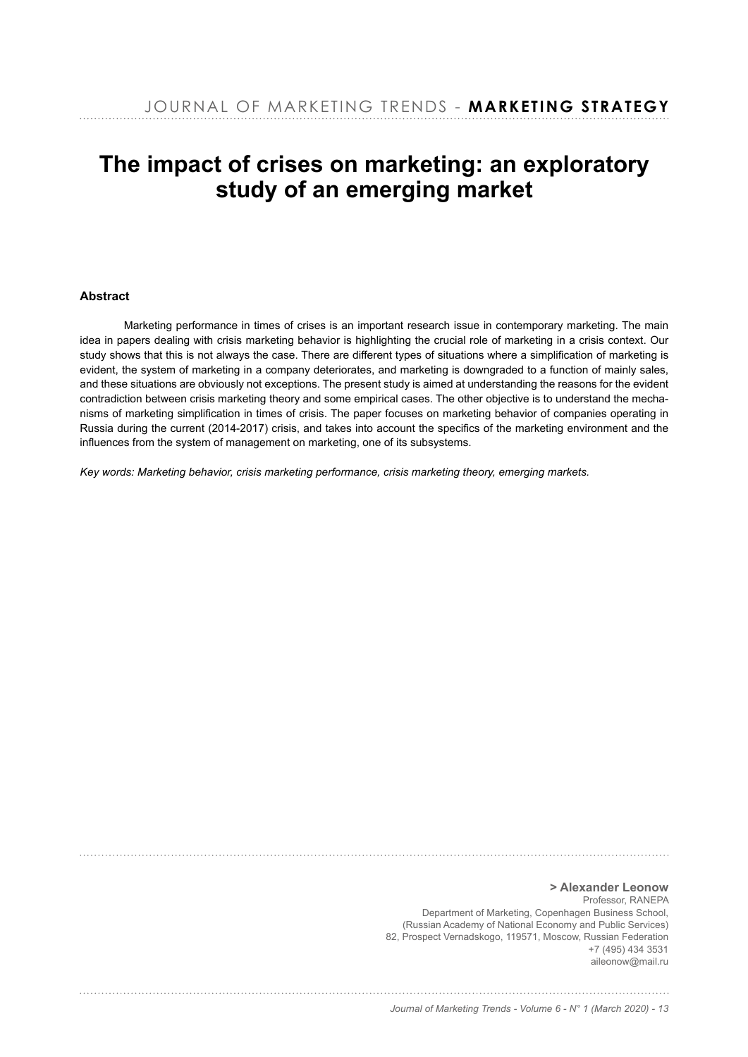# **The impact of crises on marketing: an exploratory study of an emerging market**

# **Abstract**

Marketing performance in times of crises is an important research issue in contemporary marketing. The main idea in papers dealing with crisis marketing behavior is highlighting the crucial role of marketing in a crisis context. Our study shows that this is not always the case. There are different types of situations where a simplification of marketing is evident, the system of marketing in a company deteriorates, and marketing is downgraded to a function of mainly sales, and these situations are obviously not exceptions. The present study is aimed at understanding the reasons for the evident contradiction between crisis marketing theory and some empirical cases. The other objective is to understand the mechanisms of marketing simplification in times of crisis. The paper focuses on marketing behavior of companies operating in Russia during the current (2014-2017) crisis, and takes into account the specifics of the marketing environment and the influences from the system of management on marketing, one of its subsystems.

*Key words: Marketing behavior, crisis marketing performance, crisis marketing theory, emerging markets.*

**> Alexander Leonow** Professor, RANEPA Department of Marketing, Copenhagen Business School, (Russian Academy of National Economy and Public Services) 82, Prospect Vernadskogo, 119571, Moscow, Russian Federation  $+7(495)4343531$ aileonow@mail.ru

#### *Journal of Marketing Trends - Volume 6 - N° 1 (March 2020) - 13*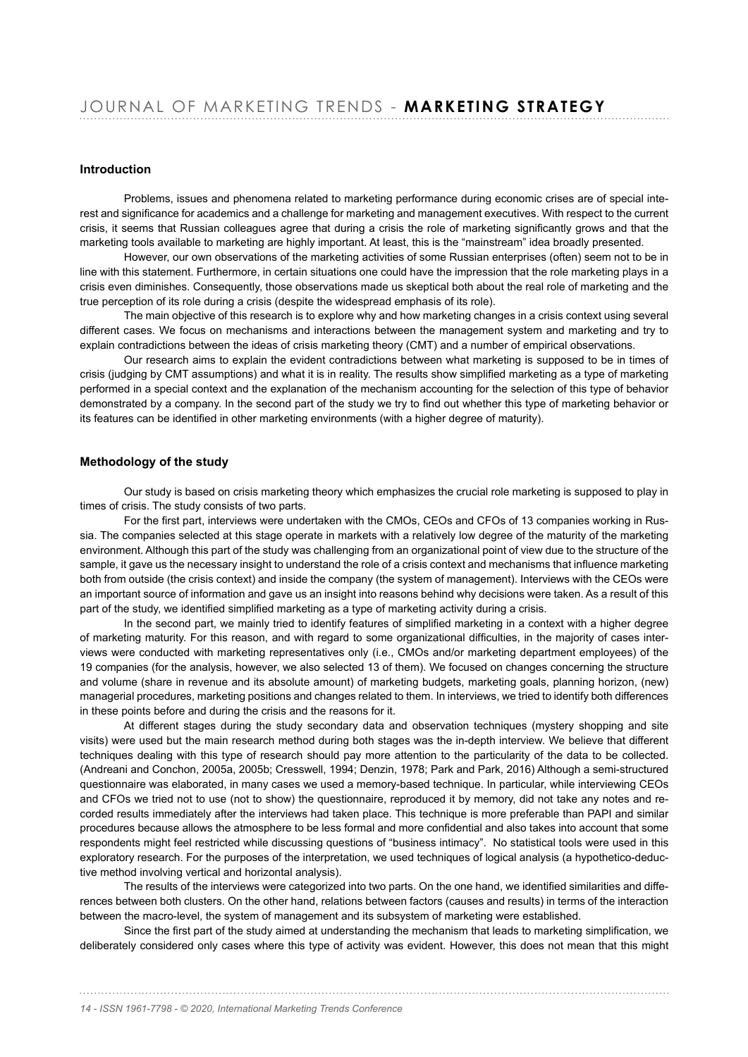### **Introduction**

Problems, issues and phenomena related to marketing performance during economic crises are of special interest and significance for academics and a challenge for marketing and management executives. With respect to the current crisis, it seems that Russian colleagues agree that during a crisis the role of marketing significantly grows and that the marketing tools available to marketing are highly important. At least, this is the "mainstream" idea broadly presented.

However, our own observations of the marketing activities of some Russian enterprises (often) seem not to be in line with this statement. Furthermore, in certain situations one could have the impression that the role marketing plays in a crisis even diminishes. Consequently, those observations made us skeptical both about the real role of marketing and the true perception of its role during a crisis (despite the widespread emphasis of its role).

The main objective of this research is to explore why and how marketing changes in a crisis context using several different cases. We focus on mechanisms and interactions between the management system and marketing and try to explain contradictions between the ideas of crisis marketing theory (CMT) and a number of empirical observations.

Our research aims to explain the evident contradictions between what marketing is supposed to be in times of crisis (judging by CMT assumptions) and what it is in reality. The results show simplified marketing as a type of marketing performed in a special context and the explanation of the mechanism accounting for the selection of this type of behavior demonstrated by a company. In the second part of the study we try to find out whether this type of marketing behavior or its features can be identified in other marketing environments (with a higher degree of maturity).

# **Methodology of the study**

Our study is based on crisis marketing theory which emphasizes the crucial role marketing is supposed to play in times of crisis. The study consists of two parts.

For the first part, interviews were undertaken with the CMOs, CEOs and CFOs of 13 companies working in Russia. The companies selected at this stage operate in markets with a relatively low degree of the maturity of the marketing environment. Although this part of the study was challenging from an organizational point of view due to the structure of the sample, it gave us the necessary insight to understand the role of a crisis context and mechanisms that influence marketing both from outside (the crisis context) and inside the company (the system of management). Interviews with the CEOs were an important source of information and gave us an insight into reasons behind why decisions were taken. As a result of this part of the study, we identified simplified marketing as a type of marketing activity during a crisis.

In the second part, we mainly tried to identify features of simplified marketing in a context with a higher degree of marketing maturity. For this reason, and with regard to some organizational difficulties, in the majority of cases interviews were conducted with marketing representatives only (i.e., CMOs and/or marketing department employees) of the 19 companies (for the analysis, however, we also selected 13 of them). We focused on changes concerning the structure and volume (share in revenue and its absolute amount) of marketing budgets, marketing goals, planning horizon, (new) managerial procedures, marketing positions and changes related to them. In interviews, we tried to identify both differences in these points before and during the crisis and the reasons for it.

At different stages during the study secondary data and observation techniques (mystery shopping and site visits) were used but the main research method during both stages was the in-depth interview. We believe that different techniques dealing with this type of research should pay more attention to the particularity of the data to be collected. (Andreani and Conchon, 2005a, 2005b; Cresswell, 1994; Denzin, 1978; Park and Park, 2016) Although a semi-structured questionnaire was elaborated, in many cases we used a memory-based technique. In particular, while interviewing CEOs and CFOs we tried not to use (not to show) the questionnaire, reproduced it by memory, did not take any notes and recorded results immediately after the interviews had taken place. This technique is more preferable than PAPI and similar procedures because allows the atmosphere to be less formal and more confidential and also takes into account that some respondents might feel restricted while discussing questions of "business intimacy". No statistical tools were used in this exploratory research. For the purposes of the interpretation, we used techniques of logical analysis (a hypothetico-deductive method involving vertical and horizontal analysis).

The results of the interviews were categorized into two parts. On the one hand, we identified similarities and differences between both clusters. On the other hand, relations between factors (causes and results) in terms of the interaction between the macro-level, the system of management and its subsystem of marketing were established.

Since the first part of the study aimed at understanding the mechanism that leads to marketing simplification, we deliberately considered only cases where this type of activity was evident. However, this does not mean that this might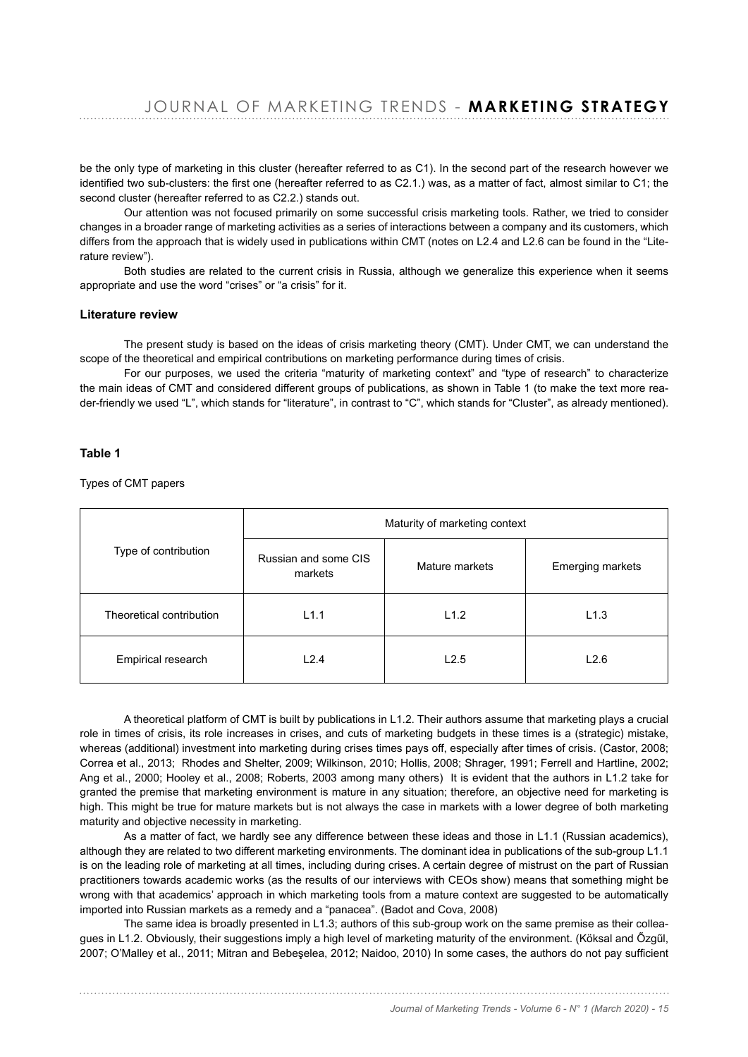be the only type of marketing in this cluster (hereafter referred to as C1). In the second part of the research however we identified two sub-clusters: the first one (hereafter referred to as C2.1.) was, as a matter of fact, almost similar to C1; the second cluster (hereafter referred to as C2.2.) stands out.

Our attention was not focused primarily on some successful crisis marketing tools. Rather, we tried to consider changes in a broader range of marketing activities as a series of interactions between a company and its customers, which differs from the approach that is widely used in publications within CMT (notes on L2.4 and L2.6 can be found in the "Literature review").

Both studies are related to the current crisis in Russia, although we generalize this experience when it seems appropriate and use the word "crises" or "a crisis" for it.

## **Literature review**

The present study is based on the ideas of crisis marketing theory (CMT). Under CMT, we can understand the scope of the theoretical and empirical contributions on marketing performance during times of crisis.

For our purposes, we used the criteria "maturity of marketing context" and "type of research" to characterize the main ideas of CMT and considered different groups of publications, as shown in Table 1 (to make the text more reader-friendly we used "L", which stands for "literature", in contrast to "C", which stands for "Cluster", as already mentioned).

# **Table 1**

Types of CMT papers

| Type of contribution     | Maturity of marketing context   |                |                         |
|--------------------------|---------------------------------|----------------|-------------------------|
|                          | Russian and some CIS<br>markets | Mature markets | <b>Emerging markets</b> |
| Theoretical contribution | L1.1                            | L1.2           | L1.3                    |
| Empirical research       | L2.4                            | L2.5           | L2.6                    |

A theoretical platform of CMT is built by publications in L1.2. Their authors assume that marketing plays a crucial role in times of crisis, its role increases in crises, and cuts of marketing budgets in these times is a (strategic) mistake, whereas (additional) investment into marketing during crises times pays off, especially after times of crisis. (Castor, 2008; Correa et al., 2013; Rhodes and Shelter, 2009; Wilkinson, 2010; Hollis, 2008; Shrager, 1991; Ferrell and Hartline, 2002; Ang et al., 2000; Hooley et al., 2008; Roberts, 2003 among many others) It is evident that the authors in L1.2 take for granted the premise that marketing environment is mature in any situation; therefore, an objective need for marketing is high. This might be true for mature markets but is not always the case in markets with a lower degree of both marketing maturity and objective necessity in marketing.

As a matter of fact, we hardly see any difference between these ideas and those in L1.1 (Russian academics), although they are related to two different marketing environments. The dominant idea in publications of the sub-group L1.1 is on the leading role of marketing at all times, including during crises. A certain degree of mistrust on the part of Russian practitioners towards academic works (as the results of our interviews with CEOs show) means that something might be wrong with that academics' approach in which marketing tools from a mature context are suggested to be automatically imported into Russian markets as a remedy and a "panacea". (Badot and Cova, 2008)

The same idea is broadly presented in L1.3; authors of this sub-group work on the same premise as their colleagues in L1.2. Obviously, their suggestions imply a high level of marketing maturity of the environment. (Köksal and Özgül, 2007; O'Malley et al., 2011; Mitran and Bebeşelea, 2012; Naidoo, 2010) In some cases, the authors do not pay sufficient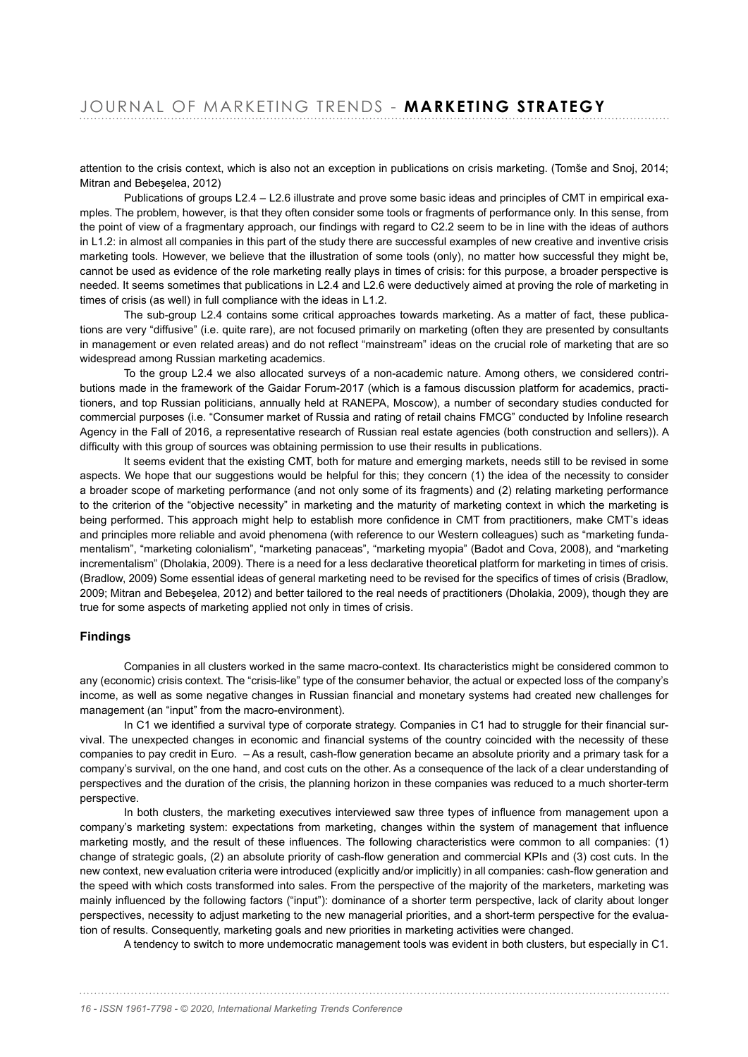attention to the crisis context, which is also not an exception in publications on crisis marketing. (Tomše and Snoj, 2014; Mitran and Bebeselea, 2012)

Publications of groups L2.4 – L2.6 illustrate and prove some basic ideas and principles of CMT in empirical examples. The problem, however, is that they often consider some tools or fragments of performance only. In this sense, from the point of view of a fragmentary approach, our findings with regard to C2.2 seem to be in line with the ideas of authors in L1.2: in almost all companies in this part of the study there are successful examples of new creative and inventive crisis marketing tools. However, we believe that the illustration of some tools (only), no matter how successful they might be, cannot be used as evidence of the role marketing really plays in times of crisis: for this purpose, a broader perspective is needed. It seems sometimes that publications in L2.4 and L2.6 were deductively aimed at proving the role of marketing in times of crisis (as well) in full compliance with the ideas in  $L1.2$ .

The sub-group L2.4 contains some critical approaches towards marketing. As a matter of fact, these publications are very "diffusive" (i.e. quite rare), are not focused primarily on marketing (often they are presented by consultants in management or even related areas) and do not reflect "mainstream" ideas on the crucial role of marketing that are so widespread among Russian marketing academics.

To the group L2.4 we also allocated surveys of a non-academic nature. Among others, we considered contributions made in the framework of the Gaidar Forum-2017 (which is a famous discussion platform for academics, practitioners, and top Russian politicians, annually held at RANEPA, Moscow), a number of secondary studies conducted for commercial purposes (i.e. "Consumer market of Russia and rating of retail chains FMCG" conducted by Infoline research Agency in the Fall of 2016, a representative research of Russian real estate agencies (both construction and sellers)). A difficulty with this group of sources was obtaining permission to use their results in publications.

It seems evident that the existing CMT, both for mature and emerging markets, needs still to be revised in some aspects. We hope that our suggestions would be helpful for this: they concern (1) the idea of the necessity to consider a broader scope of marketing performance (and not only some of its fragments) and (2) relating marketing performance to the criterion of the "objective necessity" in marketing and the maturity of marketing context in which the marketing is being performed. This approach might help to establish more confidence in CMT from practitioners, make CMT's ideas and principles more reliable and avoid phenomena (with reference to our Western colleagues) such as "marketing fundamentalism", "marketing colonialism", "marketing panaceas", "marketing myopia" (Badot and Cova, 2008), and "marketing incrementalism" (Dholakia, 2009). There is a need for a less declarative theoretical platform for marketing in times of crisis. (Bradlow, 2009) Some essential ideas of general marketing need to be revised for the specifics of times of crisis (Bradlow, 2009; Mitran and Bebeșelea, 2012) and better tailored to the real needs of practitioners (Dholakia, 2009), though they are true for some aspects of marketing applied not only in times of crisis.

# **Findings**

Companies in all clusters worked in the same macro-context. Its characteristics might be considered common to any (economic) crisis context. The "crisis-like" type of the consumer behavior, the actual or expected loss of the company's income, as well as some negative changes in Russian financial and monetary systems had created new challenges for management (an "input" from the macro-environment).

In C1 we identified a survival type of corporate strategy. Companies in C1 had to struggle for their financial survival. The unexpected changes in economic and financial systems of the country coincided with the necessity of these companies to pay credit in Euro. - As a result, cash-flow generation became an absolute priority and a primary task for a company's survival, on the one hand, and cost cuts on the other. As a consequence of the lack of a clear understanding of perspectives and the duration of the crisis, the planning horizon in these companies was reduced to a much shorter-term perspective.

In both clusters, the marketing executives interviewed saw three types of influence from management upon a company's marketing system: expectations from marketing, changes within the system of management that influence marketing mostly, and the result of these influences. The following characteristics were common to all companies: (1) change of strategic goals, (2) an absolute priority of cash-flow generation and commercial KPIs and (3) cost cuts. In the new context, new evaluation criteria were introduced (explicitly and/or implicitly) in all companies: cash-flow generation and the speed with which costs transformed into sales. From the perspective of the majority of the marketers, marketing was mainly influenced by the following factors ("input"): dominance of a shorter term perspective, lack of clarity about longer perspectives, necessity to adjust marketing to the new managerial priorities, and a short-term perspective for the evaluation of results. Consequently, marketing goals and new priorities in marketing activities were changed.

A tendency to switch to more undemocratic management tools was evident in both clusters, but especially in C1.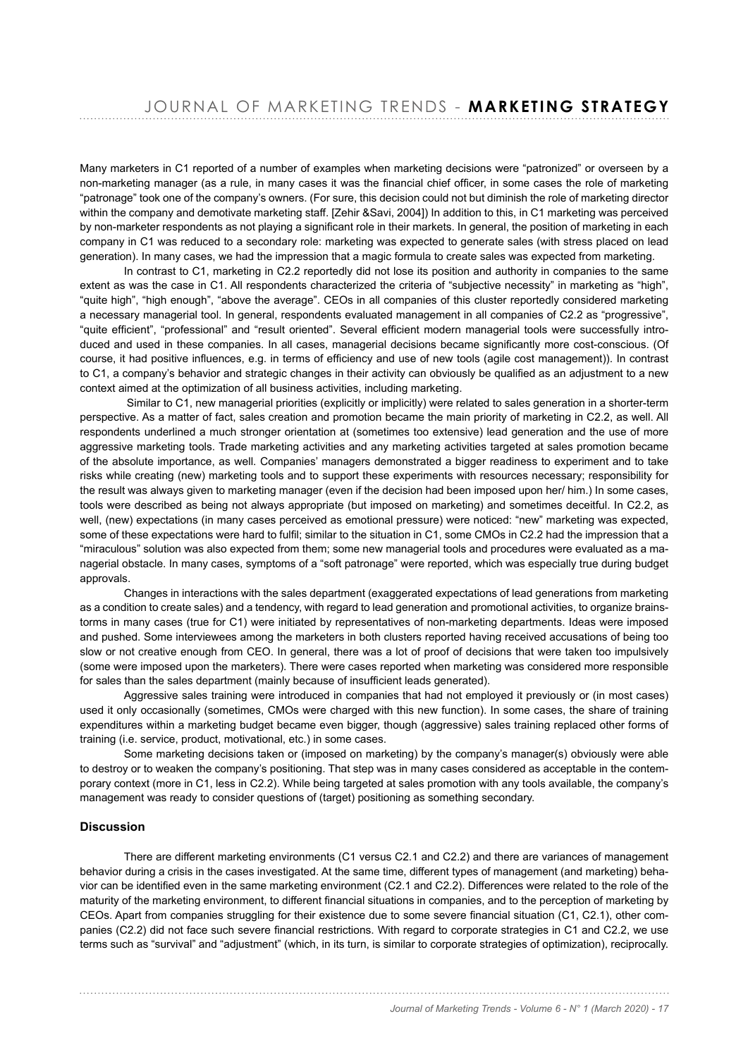Many marketers in C1 reported of a number of examples when marketing decisions were "patronized" or overseen by a non-marketing manager (as a rule, in many cases it was the financial chief officer, in some cases the role of marketing "patronage" took one of the company's owners. (For sure, this decision could not but diminish the role of marketing director within the company and demotivate marketing staff. [Zehir &Savi, 2004]) In addition to this, in C1 marketing was perceived by non-marketer respondents as not playing a significant role in their markets. In general, the position of marketing in each company in C1 was reduced to a secondary role: marketing was expected to generate sales (with stress placed on lead generation). In many cases, we had the impression that a magic formula to create sales was expected from marketing.

In contrast to C1, marketing in C2.2 reportedly did not lose its position and authority in companies to the same extent as was the case in C1. All respondents characterized the criteria of "subiective necessity" in marketing as "high", "quite high", "high enough", "above the average". CEOs in all companies of this cluster reportedly considered marketing a necessary managerial tool. In general, respondents evaluated management in all companies of C2.2 as "progressive", "quite efficient", "professional" and "result oriented". Several efficient modern managerial tools were successfully introduced and used in these companies. In all cases, managerial decisions became significantly more cost-conscious. (Of course, it had positive influences, e.g. in terms of efficiency and use of new tools (agile cost management)). In contrast to C1, a company's behavior and strategic changes in their activity can obviously be qualified as an adjustment to a new context aimed at the optimization of all business activities, including marketing.

Similar to C1, new managerial priorities (explicitly or implicitly) were related to sales generation in a shorter-term perspective. As a matter of fact, sales creation and promotion became the main priority of marketing in C2.2, as well. All respondents underlined a much stronger orientation at (sometimes too extensive) lead generation and the use of more aggressive marketing tools. Trade marketing activities and any marketing activities targeted at sales promotion became of the absolute importance, as well. Companies' managers demonstrated a bigger readiness to experiment and to take risks while creating (new) marketing tools and to support these experiments with resources necessary; responsibility for the result was always given to marketing manager (even if the decision had been imposed upon her/ him.) In some cases, tools were described as being not always appropriate (but imposed on marketing) and sometimes deceitful. In C2.2, as well, (new) expectations (in many cases perceived as emotional pressure) were noticed: "new" marketing was expected, some of these expectations were hard to fulfil; similar to the situation in C1, some CMOs in C2.2 had the impression that a "miraculous" solution was also expected from them; some new managerial tools and procedures were evaluated as a managerial obstacle. In many cases, symptoms of a "soft patronage" were reported, which was especially true during budget approvals.

Changes in interactions with the sales department (exaggerated expectations of lead generations from marketing as a condition to create sales) and a tendency, with regard to lead generation and promotional activities, to organize brainstorms in many cases (true for C1) were initiated by representatives of non-marketing departments. Ideas were imposed and pushed. Some interviewees among the marketers in both clusters reported having received accusations of being too slow or not creative enough from CEO. In general, there was a lot of proof of decisions that were taken too impulsively (some were imposed upon the marketers). There were cases reported when marketing was considered more responsible for sales than the sales department (mainly because of insufficient leads generated).

Aggressive sales training were introduced in companies that had not employed it previously or (in most cases) used it only occasionally (sometimes, CMOs were charged with this new function). In some cases, the share of training expenditures within a marketing budget became even bigger, though (aggressive) sales training replaced other forms of training (i.e. service, product, motivational, etc.) in some cases.

Some marketing decisions taken or (imposed on marketing) by the company's manager(s) obviously were able to destroy or to weaken the company's positioning. That step was in many cases considered as acceptable in the contemporary context (more in C1, less in C2.2). While being targeted at sales promotion with any tools available, the company's management was ready to consider questions of (target) positioning as something secondary.

## **Discussion**

There are different marketing environments (C1 versus C2.1 and C2.2) and there are variances of management behavior during a crisis in the cases investigated. At the same time, different types of management (and marketing) behavior can be identified even in the same marketing environment (C2.1 and C2.2). Differences were related to the role of the maturity of the marketing environment, to different financial situations in companies, and to the perception of marketing by CEOs. Apart from companies struggling for their existence due to some severe financial situation (C1, C2.1), other companies (C2.2) did not face such severe financial restrictions. With regard to corporate strategies in C1 and C2.2, we use terms such as "survival" and "adjustment" (which, in its turn, is similar to corporate strategies of optimization), reciprocally.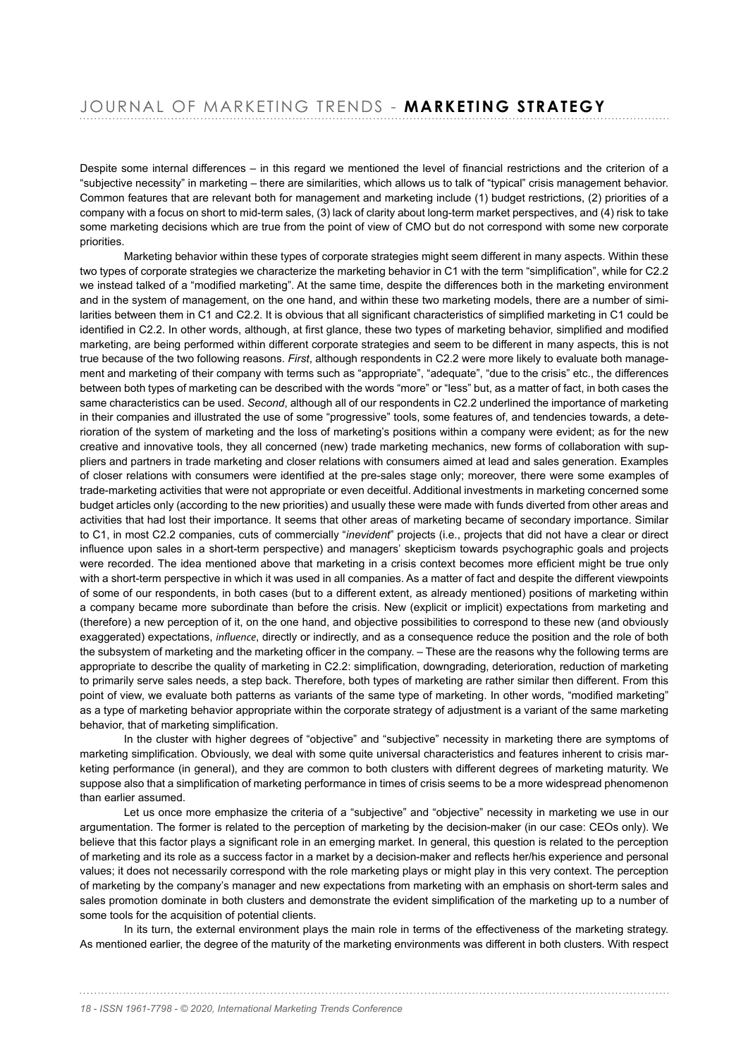Despite some internal differences – in this regard we mentioned the level of financial restrictions and the criterion of a "subjective necessity" in marketing – there are similarities, which allows us to talk of "typical" crisis management behavior. Common features that are relevant both for management and marketing include (1) budget restrictions, (2) priorities of a company with a focus on short to mid-term sales, (3) lack of clarity about long-term market perspectives, and (4) risk to take some marketing decisions which are true from the point of view of CMO but do not correspond with some new corporate priorities.

Marketing behavior within these types of corporate strategies might seem different in many aspects. Within these two types of corporate strategies we characterize the marketing behavior in C1 with the term "simplification", while for C2.2 we instead talked of a "modified marketing". At the same time, despite the differences both in the marketing environment and in the system of management, on the one hand, and within these two marketing models, there are a number of similarities between them in C1 and C2.2. It is obvious that all significant characteristics of simplified marketing in C1 could be identified in C2.2. In other words, although, at first glance, these two types of marketing behavior, simplified and modified marketing, are being performed within different corporate strategies and seem to be different in many aspects, this is not true because of the two following reasons. *First*, although respondents in C2.2 were more likely to evaluate both management and marketing of their company with terms such as "appropriate", "adequate", "due to the crisis" etc., the differences between both types of marketing can be described with the words "more" or "less" but, as a matter of fact, in both cases the same characteristics can be used. *Second*, although all of our respondents in C2.2 underlined the importance of marketing in their companies and illustrated the use of some "progressive" tools, some features of, and tendencies towards, a deterioration of the system of marketing and the loss of marketing's positions within a company were evident; as for the new creative and innovative tools, they all concerned (new) trade marketing mechanics, new forms of collaboration with suppliers and partners in trade marketing and closer relations with consumers aimed at lead and sales generation. Examples of closer relations with consumers were identified at the pre-sales stage only; moreover, there were some examples of trade-marketing activities that were not appropriate or even deceitful. Additional investments in marketing concerned some budget articles only (according to the new priorities) and usually these were made with funds diverted from other areas and activities that had lost their importance. It seems that other areas of marketing became of secondary importance. Similar to C1, in most C2.2 companies, cuts of commercially "*inevident*" projects (i.e., projects that did not have a clear or direct influence upon sales in a short-term perspective) and managers' skepticism towards psychographic goals and projects were recorded. The idea mentioned above that marketing in a crisis context becomes more efficient might be true only with a short-term perspective in which it was used in all companies. As a matter of fact and despite the different viewpoints of some of our respondents, in both cases (but to a different extent, as already mentioned) positions of marketing within a company became more subordinate than before the crisis. New (explicit or implicit) expectations from marketing and (therefore) a new perception of it, on the one hand, and objective possibilities to correspond to these new (and obviously exaggerated) expectations, *in*!*uence*, directly or indirectly, and as a consequence reduce the position and the role of both the subsystem of marketing and the marketing officer in the company. - These are the reasons why the following terms are appropriate to describe the quality of marketing in C2.2: simplification, downgrading, deterioration, reduction of marketing to primarily serve sales needs, a step back. Therefore, both types of marketing are rather similar then different. From this point of view, we evaluate both patterns as variants of the same type of marketing. In other words, "modified marketing" as a type of marketing behavior appropriate within the corporate strategy of adjustment is a variant of the same marketing behavior, that of marketing simplification.

In the cluster with higher degrees of "objective" and "subjective" necessity in marketing there are symptoms of marketing simplification. Obviously, we deal with some quite universal characteristics and features inherent to crisis marketing performance (in general), and they are common to both clusters with different degrees of marketing maturity. We suppose also that a simplification of marketing performance in times of crisis seems to be a more widespread phenomenon than earlier assumed.

Let us once more emphasize the criteria of a "subjective" and "objective" necessity in marketing we use in our argumentation. The former is related to the perception of marketing by the decision-maker (in our case: CEOs only). We believe that this factor plays a significant role in an emerging market. In general, this question is related to the perception of marketing and its role as a success factor in a market by a decision-maker and reflects her/his experience and personal values; it does not necessarily correspond with the role marketing plays or might play in this very context. The perception of marketing by the company's manager and new expectations from marketing with an emphasis on short-term sales and sales promotion dominate in both clusters and demonstrate the evident simplification of the marketing up to a number of some tools for the acquisition of potential clients.

In its turn, the external environment plays the main role in terms of the effectiveness of the marketing strategy. As mentioned earlier, the degree of the maturity of the marketing environments was different in both clusters. With respect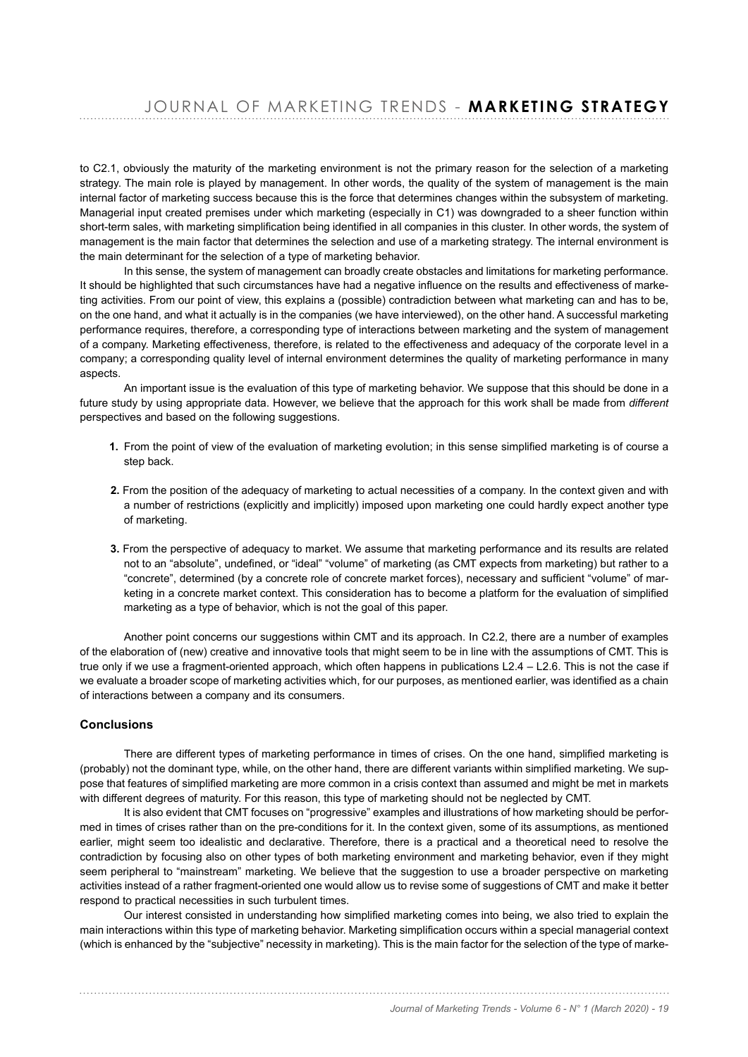to C2.1, obviously the maturity of the marketing environment is not the primary reason for the selection of a marketing strategy. The main role is played by management. In other words, the quality of the system of management is the main internal factor of marketing success because this is the force that determines changes within the subsystem of marketing. Managerial input created premises under which marketing (especially in C1) was downgraded to a sheer function within short-term sales, with marketing simplification being identified in all companies in this cluster. In other words, the system of management is the main factor that determines the selection and use of a marketing strategy. The internal environment is the main determinant for the selection of a type of marketing behavior.

In this sense, the system of management can broadly create obstacles and limitations for marketing performance. It should be highlighted that such circumstances have had a negative influence on the results and effectiveness of marketing activities. From our point of view, this explains a (possible) contradiction between what marketing can and has to be, on the one hand, and what it actually is in the companies (we have interviewed), on the other hand. A successful marketing performance requires, therefore, a corresponding type of interactions between marketing and the system of management of a company. Marketing effectiveness, therefore, is related to the effectiveness and adequacy of the corporate level in a company; a corresponding quality level of internal environment determines the quality of marketing performance in many aspects.

An important issue is the evaluation of this type of marketing behavior. We suppose that this should be done in a future study by using appropriate data. However, we believe that the approach for this work shall be made from *different* perspectives and based on the following suggestions.

- 1. From the point of view of the evaluation of marketing evolution; in this sense simplified marketing is of course a step back.
- **2.** From the position of the adequacy of marketing to actual necessities of a company. In the context given and with a number of restrictions (explicitly and implicitly) imposed upon marketing one could hardly expect another type of marketing.
- **3.** From the perspective of adequacy to market. We assume that marketing performance and its results are related not to an "absolute", undefined, or "ideal" "volume" of marketing (as CMT expects from marketing) but rather to a "concrete", determined (by a concrete role of concrete market forces), necessary and sufficient "volume" of marketing in a concrete market context. This consideration has to become a platform for the evaluation of simplified marketing as a type of behavior, which is not the goal of this paper.

Another point concerns our suggestions within CMT and its approach. In C2.2, there are a number of examples of the elaboration of (new) creative and innovative tools that might seem to be in line with the assumptions of CMT. This is true only if we use a fragment-oriented approach, which often happens in publications L2.4 – L2.6. This is not the case if we evaluate a broader scope of marketing activities which, for our purposes, as mentioned earlier, was identified as a chain of interactions between a company and its consumers.

# **Conclusions**

There are different types of marketing performance in times of crises. On the one hand, simplified marketing is (probably) not the dominant type, while, on the other hand, there are different variants within simplified marketing. We suppose that features of simplified marketing are more common in a crisis context than assumed and might be met in markets with different degrees of maturity. For this reason, this type of marketing should not be neglected by CMT.

It is also evident that CMT focuses on "progressive" examples and illustrations of how marketing should be performed in times of crises rather than on the pre-conditions for it. In the context given, some of its assumptions, as mentioned earlier, might seem too idealistic and declarative. Therefore, there is a practical and a theoretical need to resolve the contradiction by focusing also on other types of both marketing environment and marketing behavior, even if they might seem peripheral to "mainstream" marketing. We believe that the suggestion to use a broader perspective on marketing activities instead of a rather fragment-oriented one would allow us to revise some of suggestions of CMT and make it better respond to practical necessities in such turbulent times.

Our interest consisted in understanding how simplified marketing comes into being, we also tried to explain the main interactions within this type of marketing behavior. Marketing simplification occurs within a special managerial context (which is enhanced by the "subjective" necessity in marketing). This is the main factor for the selection of the type of marke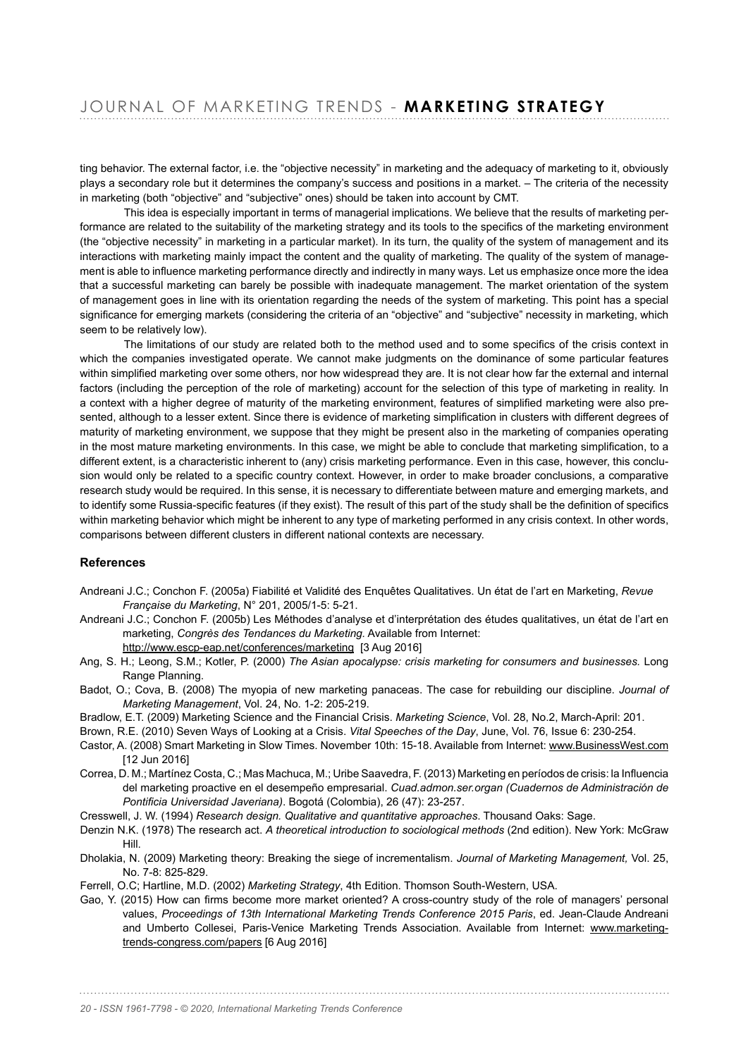ting behavior. The external factor, i.e. the "objective necessity" in marketing and the adequacy of marketing to it, obviously plays a secondary role but it determines the company's success and positions in a market. – The criteria of the necessity in marketing (both "obiective" and "subiective" ones) should be taken into account by CMT.

This idea is especially important in terms of managerial implications. We believe that the results of marketing performance are related to the suitability of the marketing strategy and its tools to the specifics of the marketing environment (the "objective necessity" in marketing in a particular market). In its turn, the quality of the system of management and its interactions with marketing mainly impact the content and the quality of marketing. The quality of the system of management is able to influence marketing performance directly and indirectly in many ways. Let us emphasize once more the idea that a successful marketing can barely be possible with inadequate management. The market orientation of the system of management goes in line with its orientation regarding the needs of the system of marketing. This point has a special significance for emerging markets (considering the criteria of an "objective" and "subjective" necessity in marketing, which seem to be relatively low).

The limitations of our study are related both to the method used and to some specifics of the crisis context in which the companies investigated operate. We cannot make judgments on the dominance of some particular features within simplified marketing over some others, nor how widespread they are. It is not clear how far the external and internal factors (including the perception of the role of marketing) account for the selection of this type of marketing in reality. In a context with a higher degree of maturity of the marketing environment, features of simplified marketing were also presented, although to a lesser extent. Since there is evidence of marketing simplification in clusters with different degrees of maturity of marketing environment, we suppose that they might be present also in the marketing of companies operating in the most mature marketing environments. In this case, we might be able to conclude that marketing simplification, to a different extent, is a characteristic inherent to (any) crisis marketing performance. Even in this case, however, this conclusion would only be related to a specific country context. However, in order to make broader conclusions, a comparative research study would be required. In this sense, it is necessary to differentiate between mature and emerging markets, and to identify some Russia-specific features (if they exist). The result of this part of the study shall be the definition of specifics within marketing behavior which might be inherent to any type of marketing performed in any crisis context. In other words, comparisons between different clusters in different national contexts are necessary.

# **References**

- Andreani J.C.; Conchon F. (2005a) Fiabilité et Validité des Enquêtes Qualitatives. Un état de l'art en Marketing, Revue *Française du Marketing*, N° 201, 2005/1-5: 5-21.
- Andreani J.C.; Conchon F. (2005b) Les Méthodes d'analyse et d'interprétation des études qualitatives, un état de l'art en marketing, *Congrès des Tendances du Marketing.* Available from Internet: http://www.escp-eap.net/conferences/marketing [3 Aug 2016]
- Ang, S. H.; Leong, S.M.; Kotler, P. (2000) The Asian apocalypse: crisis marketing for consumers and businesses. Long Range Planning.
- Badot, O.; Cova, B. (2008) The myopia of new marketing panaceas. The case for rebuilding our discipline. Journal of *Marketing Management*, Vol. 24, No. 1-2: 205-219.
- Bradlow, E.T. (2009) Marketing Science and the Financial Crisis. Marketing Science, Vol. 28, No.2, March-April: 201.
- Brown, R.E. (2010) Seven Ways of Looking at a Crisis. Vital Speeches of the Day, June, Vol. 76, Issue 6: 230-254.
- Castor, A. (2008) Smart Marketing in Slow Times. November 10th: 15-18. Available from Internet: www.BusinessWest.com [12 Jun 2016]
- Correa, D. M.; Martínez Costa, C.; Mas Machuca, M.; Uribe Saavedra, F. (2013) Marketing en períodos de crisis: la Influencia del marketing proactive en el desempeño empresarial. *Cuad.admon.ser.organ (Cuadernos de Administración de*  Pontificia Universidad Javeriana). Bogotá (Colombia), 26 (47): 23-257.
- Cresswell, J. W. (1994) Research design. Qualitative and quantitative approaches. Thousand Oaks: Sage.
- Denzin N.K. (1978) The research act. A theoretical introduction to sociological methods (2nd edition). New York: McGraw Hill.
- Dholakia, N. (2009) Marketing theory: Breaking the siege of incrementalism. Journal of Marketing Management, Vol. 25, No. 7-8: 825-829.
- Ferrell, O.C; Hartline, M.D. (2002) Marketing Strategy, 4th Edition. Thomson South-Western, USA.
- Gao, Y. (2015) How can firms become more market oriented? A cross-country study of the role of managers' personal values, *Proceedings of 13th International Marketing Trends Conference 2015 Paris*, ed. Jean-Claude Andreani and Umberto Collesei, Paris-Venice Marketing Trends Association. Available from Internet: www.marketingtrends-congress.com/papers [6 Aug 2016]